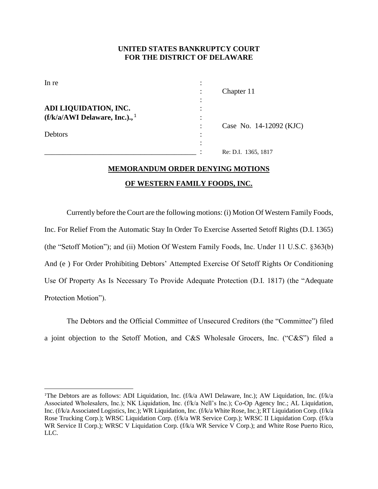## **UNITED STATES BANKRUPTCY COURT FOR THE DISTRICT OF DELAWARE**

| In re                                       |   |                         |
|---------------------------------------------|---|-------------------------|
|                                             |   | Chapter 11              |
|                                             |   |                         |
| ADI LIQUIDATION, INC.                       |   |                         |
| $(f/k/a/AWI$ Delaware, Inc.)., <sup>1</sup> |   |                         |
|                                             |   | Case No. 14-12092 (KJC) |
| Debtors                                     | ٠ |                         |
|                                             |   |                         |
|                                             |   | Re: D.I. 1365, 1817     |

## **MEMORANDUM ORDER DENYING MOTIONS OF WESTERN FAMILY FOODS, INC.**

Currently before the Court are the following motions: (i) Motion Of Western Family Foods, Inc. For Relief From the Automatic Stay In Order To Exercise Asserted Setoff Rights (D.I. 1365) (the "Setoff Motion"); and (ii) Motion Of Western Family Foods, Inc. Under 11 U.S.C. §363(b) And (e ) For Order Prohibiting Debtors' Attempted Exercise Of Setoff Rights Or Conditioning Use Of Property As Is Necessary To Provide Adequate Protection (D.I. 1817) (the "Adequate Protection Motion").

The Debtors and the Official Committee of Unsecured Creditors (the "Committee") filed a joint objection to the Setoff Motion, and C&S Wholesale Grocers, Inc. ("C&S") filed a

l

<sup>&</sup>lt;sup>1</sup>The Debtors are as follows: ADI Liquidation, Inc. (f/k/a AWI Delaware, Inc.); AW Liquidation, Inc. (f/k/a Associated Wholesalers, Inc.); NK Liquidation, Inc. (f/k/a Nell's Inc.); Co-Op Agency Inc.; AL Liquidation, Inc. (f/k/a Associated Logistics, Inc.); WR Liquidation, Inc. (f/k/a White Rose, Inc.); RT Liquidation Corp. (f/k/a Rose Trucking Corp.); WRSC Liquidation Corp. (f/k/a WR Service Corp.); WRSC II Liquidation Corp. (f/k/a WR Service II Corp.); WRSC V Liquidation Corp. (f/k/a WR Service V Corp.); and White Rose Puerto Rico, LLC.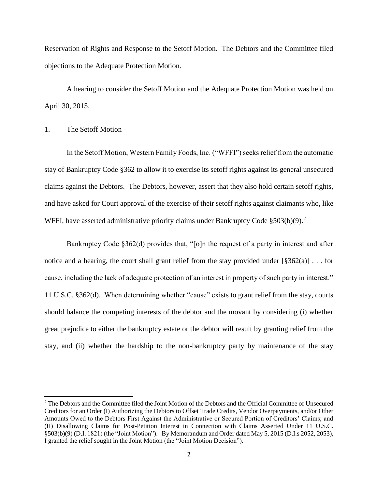Reservation of Rights and Response to the Setoff Motion. The Debtors and the Committee filed objections to the Adequate Protection Motion.

A hearing to consider the Setoff Motion and the Adequate Protection Motion was held on April 30, 2015.

## 1. The Setoff Motion

 $\overline{a}$ 

In the Setoff Motion, Western Family Foods, Inc. ("WFFI") seeks relief from the automatic stay of Bankruptcy Code §362 to allow it to exercise its setoff rights against its general unsecured claims against the Debtors. The Debtors, however, assert that they also hold certain setoff rights, and have asked for Court approval of the exercise of their setoff rights against claimants who, like WFFI, have asserted administrative priority claims under Bankruptcy Code  $$503(b)(9).$ <sup>2</sup>

Bankruptcy Code §362(d) provides that, "[o]n the request of a party in interest and after notice and a hearing, the court shall grant relief from the stay provided under [§362(a)] . . . for cause, including the lack of adequate protection of an interest in property of such party in interest." 11 U.S.C. §362(d). When determining whether "cause" exists to grant relief from the stay, courts should balance the competing interests of the debtor and the movant by considering (i) whether great prejudice to either the bankruptcy estate or the debtor will result by granting relief from the stay, and (ii) whether the hardship to the non-bankruptcy party by maintenance of the stay

<sup>2</sup> The Debtors and the Committee filed the Joint Motion of the Debtors and the Official Committee of Unsecured Creditors for an Order (I) Authorizing the Debtors to Offset Trade Credits, Vendor Overpayments, and/or Other Amounts Owed to the Debtors First Against the Administrative or Secured Portion of Creditors' Claims; and (II) Disallowing Claims for Post-Petition Interest in Connection with Claims Asserted Under 11 U.S.C. §503(b)(9) (D.I. 1821) (the "Joint Motion"). By Memorandum and Order dated May 5, 2015 (D.I.s 2052, 2053), I granted the relief sought in the Joint Motion (the "Joint Motion Decision").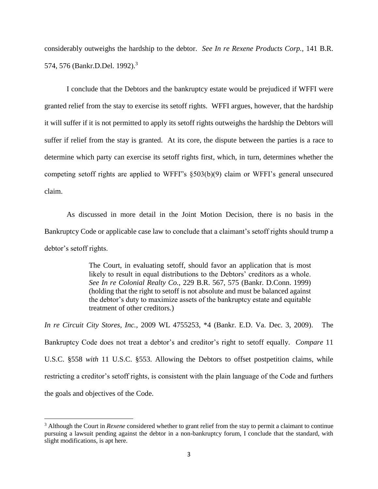considerably outweighs the hardship to the debtor. *See In re Rexene Products Corp.,* 141 B.R. 574, 576 (Bankr.D.Del. 1992).<sup>3</sup>

I conclude that the Debtors and the bankruptcy estate would be prejudiced if WFFI were granted relief from the stay to exercise its setoff rights. WFFI argues, however, that the hardship it will suffer if it is not permitted to apply its setoff rights outweighs the hardship the Debtors will suffer if relief from the stay is granted. At its core, the dispute between the parties is a race to determine which party can exercise its setoff rights first, which, in turn, determines whether the competing setoff rights are applied to WFFI"s §503(b)(9) claim or WFFI's general unsecured claim.

As discussed in more detail in the Joint Motion Decision, there is no basis in the Bankruptcy Code or applicable case law to conclude that a claimant's setoff rights should trump a debtor's setoff rights.

> The Court, in evaluating setoff, should favor an application that is most likely to result in equal distributions to the Debtors' creditors as a whole. *See In re Colonial Realty Co.,* 229 B.R. 567, 575 (Bankr. D.Conn. 1999) (holding that the right to setoff is not absolute and must be balanced against the debtor's duty to maximize assets of the bankruptcy estate and equitable treatment of other creditors.)

*In re Circuit City Stores, Inc.,* 2009 WL 4755253, \*4 (Bankr. E.D. Va. Dec. 3, 2009). The Bankruptcy Code does not treat a debtor's and creditor's right to setoff equally. *Compare* 11 U.S.C. §558 *with* 11 U.S.C. §553. Allowing the Debtors to offset postpetition claims, while restricting a creditor's setoff rights, is consistent with the plain language of the Code and furthers the goals and objectives of the Code.

 $\overline{\phantom{a}}$ 

<sup>3</sup> Although the Court in *Rexene* considered whether to grant relief from the stay to permit a claimant to continue pursuing a lawsuit pending against the debtor in a non-bankruptcy forum, I conclude that the standard, with slight modifications, is apt here.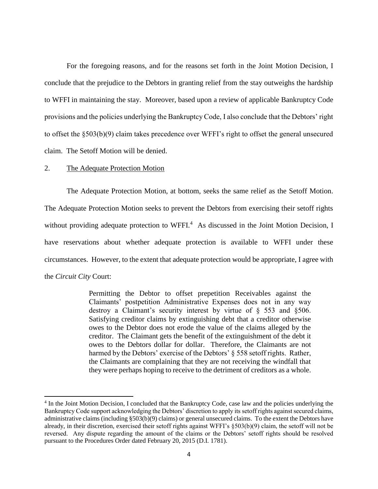For the foregoing reasons, and for the reasons set forth in the Joint Motion Decision, I conclude that the prejudice to the Debtors in granting relief from the stay outweighs the hardship to WFFI in maintaining the stay. Moreover, based upon a review of applicable Bankruptcy Code provisions and the policies underlying the Bankruptcy Code, I also conclude that the Debtors' right to offset the §503(b)(9) claim takes precedence over WFFI's right to offset the general unsecured claim. The Setoff Motion will be denied.

## 2. The Adequate Protection Motion

 $\overline{a}$ 

The Adequate Protection Motion, at bottom, seeks the same relief as the Setoff Motion. The Adequate Protection Motion seeks to prevent the Debtors from exercising their setoff rights without providing adequate protection to WFFI.<sup>4</sup> As discussed in the Joint Motion Decision, I have reservations about whether adequate protection is available to WFFI under these circumstances. However, to the extent that adequate protection would be appropriate, I agree with the *Circuit City* Court:

> Permitting the Debtor to offset prepetition Receivables against the Claimants' postpetition Administrative Expenses does not in any way destroy a Claimant's security interest by virtue of § 553 and §506. Satisfying creditor claims by extinguishing debt that a creditor otherwise owes to the Debtor does not erode the value of the claims alleged by the creditor. The Claimant gets the benefit of the extinguishment of the debt it owes to the Debtors dollar for dollar. Therefore, the Claimants are not harmed by the Debtors' exercise of the Debtors' § 558 setoff rights. Rather, the Claimants are complaining that they are not receiving the windfall that they were perhaps hoping to receive to the detriment of creditors as a whole.

<sup>&</sup>lt;sup>4</sup> In the Joint Motion Decision, I concluded that the Bankruptcy Code, case law and the policies underlying the Bankruptcy Code support acknowledging the Debtors' discretion to apply its setoff rights against secured claims, administrative claims (including §503(b)(9) claims) or general unsecured claims. To the extent the Debtors have already, in their discretion, exercised their setoff rights against WFFI's §503(b)(9) claim, the setoff will not be reversed. Any dispute regarding the amount of the claims or the Debtors' setoff rights should be resolved pursuant to the Procedures Order dated February 20, 2015 (D.I. 1781).